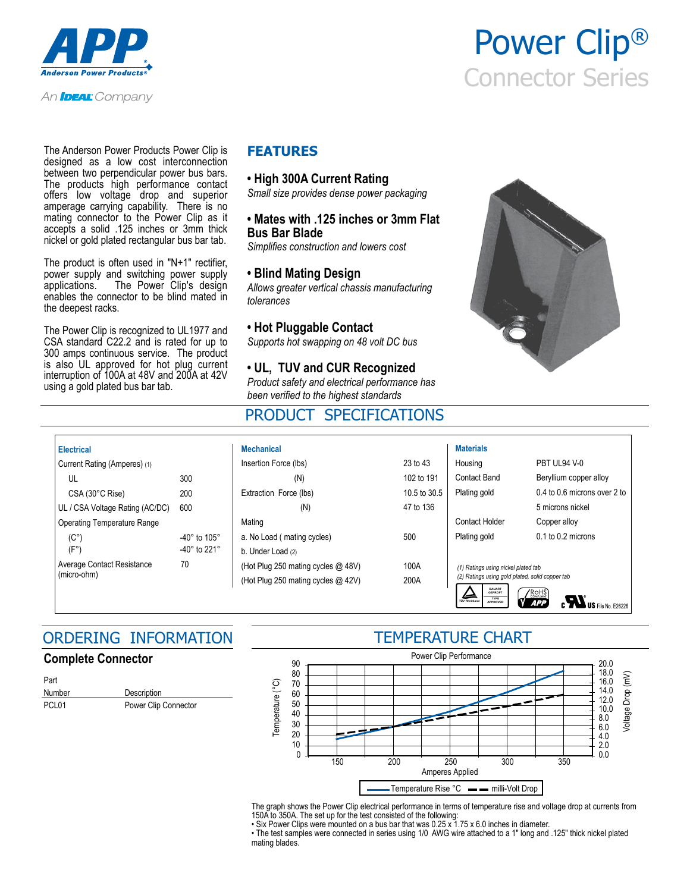

An **Ideal:** Company

The Anderson Power Products Power Clip is designed as a low cost interconnection between two perpendicular power bus bars. The products high performance contact offers low voltage drop and superior amperage carrying capability. There is no mating connector to the Power Clip as it accepts a solid .125 inches or 3mm thick nickel or gold plated rectangular bus bar tab.

The product is often used in "N+1" rectifier, power supply and switching power supply applications. The Power Clip's design enables the connector to be blind mated in the deepest racks.

The Power Clip is recognized to UL1977 and CSA standard C22.2 and is rated for up to 300 amps continuous service. The product is also UL approved for hot plug current interruption of 100A at 48V and 200A at 42V using a gold plated bus bar tab.

### **FEATURES**

### **• High 300A Current Rating**

*Small size provides dense power packaging*

### **• Mates with .125 inches or 3mm Flat Bus Bar Blade**

*Simplifies construction and lowers cost*

### **• Blind Mating Design**

*Allows greater vertical chassis manufacturing tolerances*

#### **• Hot Pluggable Contact**

*Supports hot swapping on 48 volt DC bus*

### **• UL, TUV and CUR Recognized**

*Product safety and electrical performance has been verified to the highest standards*

## PRODUCT SPECIFICATIONS



Power Clip®

Connector Series

| <b>Electrical</b>                         |                                                                      | <b>Mechanical</b>                                                        |              | <b>Materials</b>                                                                                                                                                                                                                                      |                                  |
|-------------------------------------------|----------------------------------------------------------------------|--------------------------------------------------------------------------|--------------|-------------------------------------------------------------------------------------------------------------------------------------------------------------------------------------------------------------------------------------------------------|----------------------------------|
| Current Rating (Amperes) (1)              |                                                                      | Insertion Force (lbs)                                                    | 23 to 43     | Housing                                                                                                                                                                                                                                               | PBT UL94 V-0                     |
| UL                                        | 300                                                                  | (N)                                                                      | 102 to 191   | Contact Band                                                                                                                                                                                                                                          | Beryllium copper alloy           |
| CSA (30°C Rise)                           | 200                                                                  | Extraction Force (lbs)                                                   | 10.5 to 30.5 | Plating gold                                                                                                                                                                                                                                          | $0.4$ to $0.6$ microns over 2 to |
| UL / CSA Voltage Rating (AC/DC)           | 600                                                                  | (N)                                                                      | 47 to 136    |                                                                                                                                                                                                                                                       | 5 microns nickel                 |
| <b>Operating Temperature Range</b>        |                                                                      | Mating                                                                   |              | Contact Holder                                                                                                                                                                                                                                        | Copper alloy                     |
| $(C^{\circ})$<br>(F°)                     | -40 $^{\circ}$ to 105 $^{\circ}$<br>-40 $^{\circ}$ to 221 $^{\circ}$ | a. No Load (mating cycles)<br>b. Under Load (2)                          | 500          | Plating gold                                                                                                                                                                                                                                          | $0.1$ to $0.2$ microns           |
| Average Contact Resistance<br>(micro-ohm) | 70                                                                   | (Hot Plug 250 mating cycles @ 48V)<br>(Hot Plug 250 mating cycles @ 42V) | 100A<br>200A | (1) Ratings using nickel plated tab<br>(2) Ratings using gold plated, solid copper tab<br><b>BAUART</b><br>GEPROFT<br>$\Delta$<br>$\sqrt{\text{ROHS}}$<br>TYPE<br>APPROVED<br><b>TÜV Rheinland</b><br><b>APP</b><br>$\blacksquare$ US File No. E26226 |                                  |

## ORDERING INFORMATION

### **Complete Connector**

| Part              |                      |  |
|-------------------|----------------------|--|
| Number            | Description          |  |
| PCL <sub>01</sub> | Power Clip Connector |  |

### TEMPERATURE CHART



The graph shows the Power Clip electrical performance in terms of temperature rise and voltage drop at currents from 150A to 350A. The set up for the test consisted of the following:

• Six Power Clips were mounted on a bus bar that was 0.25 x 1.75 x 6.0 inches in diameter.

• The test samples were connected in series using 1/0 AWG wire attached to a 1" long and .125" thick nickel plated mating blades.